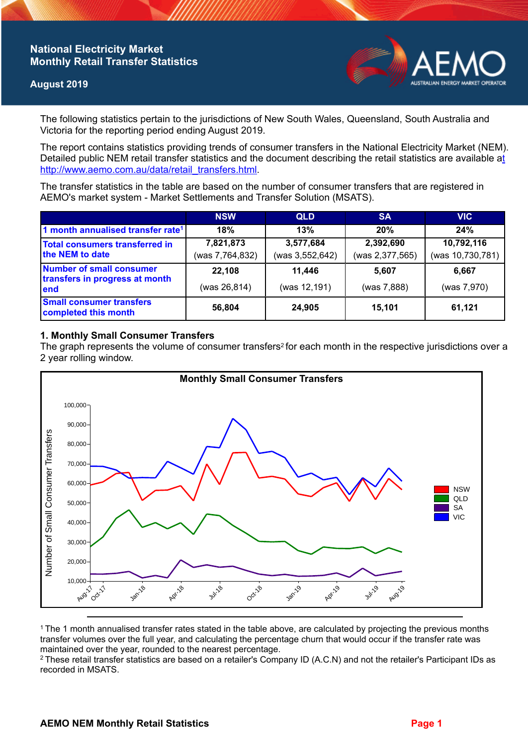# **National Electricity Market Monthly Retail Transfer Statistics**

### **August 2019**



The following statistics pertain to the jurisdictions of New South Wales, Queensland, South Australia and Victoria for the reporting period ending August 2019.

The report contains statistics providing trends of consumer transfers in the National Electricity Market (NEM). Detailed public NEM retail transfer statistics and the document describing the retail statistics are available a[t](http://www.aemo.com.au/data/retail_transfers.html)  http://www.aemo.com.au/data/retail\_transfers.html

The transfer statistics in the table are based on the number of consumer transfers that are registered in AEMO's market system - Market Settlements and Transfer Solution (MSATS).

|                                                                    | <b>NSW</b>                   | <b>QLD</b>                   | <b>SA</b>                    | <b>VIC</b>                     |
|--------------------------------------------------------------------|------------------------------|------------------------------|------------------------------|--------------------------------|
| 1 month annualised transfer rate <sup>1</sup>                      | 18%                          | 13%                          | 20%                          | 24%                            |
| Total consumers transferred in<br>the NEM to date                  | 7,821,873<br>(was 7,764,832) | 3,577,684<br>(was 3,552,642) | 2,392,690<br>(was 2,377,565) | 10,792,116<br>(was 10,730,781) |
| Number of small consumer<br>transfers in progress at month<br>lend | 22,108<br>(was 26,814)       | 11,446<br>(was 12,191)       | 5.607<br>(was 7,888)         | 6.667<br>(was 7,970)           |
| <b>Small consumer transfers</b><br>completed this month            | 56,804                       | 24,905                       | 15.101                       | 61,121                         |

## **1. Monthly Small Consumer Transfers**

The graph represents the volume of consumer transfers<sup>2</sup> for each month in the respective jurisdictions over a 2 year rolling window.



<sup>1</sup>The 1 month annualised transfer rates stated in the table above, are calculated by projecting the previous months transfer volumes over the full year, and calculating the percentage churn that would occur if the transfer rate was maintained over the year, rounded to the nearest percentage.

<sup>2</sup> These retail transfer statistics are based on a retailer's Company ID (A.C.N) and not the retailer's Participant IDs as recorded in MSATS.